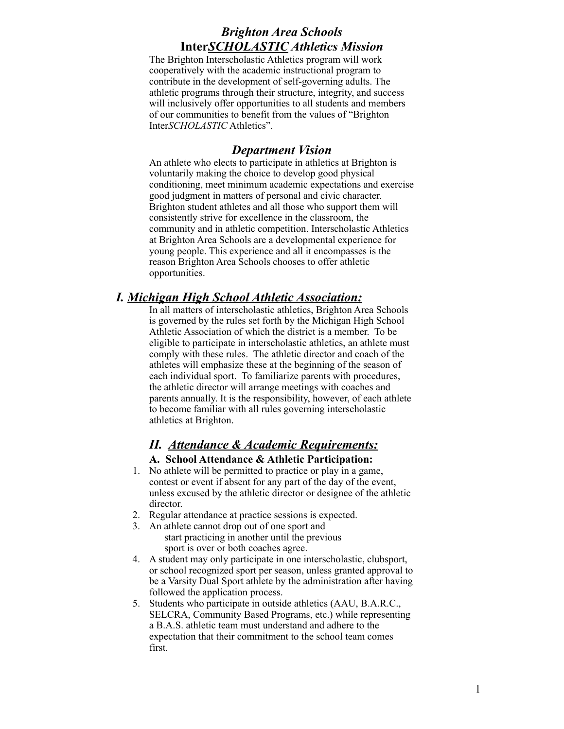# *Brighton Area Schools* **Inter***SCHOLASTIC Athletics Mission*

The Brighton Interscholastic Athletics program will work cooperatively with the academic instructional program to contribute in the development of self-governing adults. The athletic programs through their structure, integrity, and success will inclusively offer opportunities to all students and members of our communities to benefit from the values of "Brighton Inter*SCHOLASTIC* Athletics".

### *Department Vision*

An athlete who elects to participate in athletics at Brighton is voluntarily making the choice to develop good physical conditioning, meet minimum academic expectations and exercise good judgment in matters of personal and civic character. Brighton student athletes and all those who support them will consistently strive for excellence in the classroom, the community and in athletic competition. Interscholastic Athletics at Brighton Area Schools are a developmental experience for young people. This experience and all it encompasses is the reason Brighton Area Schools chooses to offer athletic opportunities.

# *I. Michigan High School Athletic Association:*

In all matters of interscholastic athletics, Brighton Area Schools is governed by the rules set forth by the Michigan High School Athletic Association of which the district is a member. To be eligible to participate in interscholastic athletics, an athlete must comply with these rules. The athletic director and coach of the athletes will emphasize these at the beginning of the season of each individual sport. To familiarize parents with procedures, the athletic director will arrange meetings with coaches and parents annually. It is the responsibility, however, of each athlete to become familiar with all rules governing interscholastic athletics at Brighton.

# *II. Attendance & Academic Requirements:* **A. School Attendance & Athletic Participation:**

- 1. No athlete will be permitted to practice or play in a game, contest or event if absent for any part of the day of the event, unless excused by the athletic director or designee of the athletic director.
- 2. Regular attendance at practice sessions is expected.
- 3. An athlete cannot drop out of one sport and start practicing in another until the previous sport is over or both coaches agree.
- 4. A student may only participate in one interscholastic, clubsport, or school recognized sport per season, unless granted approval to be a Varsity Dual Sport athlete by the administration after having followed the application process.
- 5. Students who participate in outside athletics (AAU, B.A.R.C., SELCRA, Community Based Programs, etc.) while representing a B.A.S. athletic team must understand and adhere to the expectation that their commitment to the school team comes first.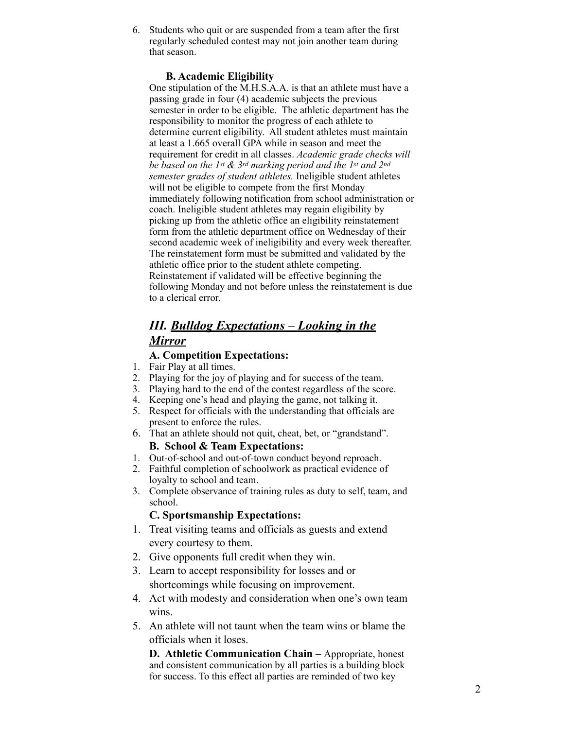6. Students who quit or are suspended from a team after the first regularly scheduled contest may not join another team during that season.

### **B. Academic Eligibility**

One stipulation of the M.H.S.A.A. is that an athlete must have a passing grade in four (4) academic subjects the previous semester in order to be eligible. The athletic department has the responsibility to monitor the progress of each athlete to determine current eligibility. All student athletes must maintain at least a 1.665 overall GPA while in season and meet the requirement for credit in all classes. *Academic grade checks will be based on the 1st & 3rd marking period and the 1st and 2nd semester grades of student athletes.* Ineligible student athletes will not be eligible to compete from the first Monday immediately following notification from school administration or coach. Ineligible student athletes may regain eligibility by picking up from the athletic office an eligibility reinstatement form from the athletic department office on Wednesday of their second academic week of ineligibility and every week thereafter. The reinstatement form must be submitted and validated by the athletic office prior to the student athlete competing. Reinstatement if validated will be effective beginning the following Monday and not before unless the reinstatement is due to a clerical error.

# *III. Bulldog Expectations – Looking in the Mirror*

### **A. Competition Expectations:**

- 1. Fair Play at all times.
- 2. Playing for the joy of playing and for success of the team.
- 3. Playing hard to the end of the contest regardless of the score.
- 4. Keeping one's head and playing the game, not talking it.
- 5. Respect for officials with the understanding that officials are present to enforce the rules.
- 6. That an athlete should not quit, cheat, bet, or "grandstand".

### **B. School & Team Expectations:**

- 1. Out-of-school and out-of-town conduct beyond reproach.
- 2. Faithful completion of schoolwork as practical evidence of loyalty to school and team.
- 3. Complete observance of training rules as duty to self, team, and school.

### **C. Sportsmanship Expectations:**

- 1. Treat visiting teams and officials as guests and extend every courtesy to them.
- 2. Give opponents full credit when they win.
- 3. Learn to accept responsibility for losses and or shortcomings while focusing on improvement.
- 4. Act with modesty and consideration when one's own team wins.
- 5. An athlete will not taunt when the team wins or blame the officials when it loses.

**D. Athletic Communication Chain** *–* Appropriate, honest and consistent communication by all parties is a building block for success. To this effect all parties are reminded of two key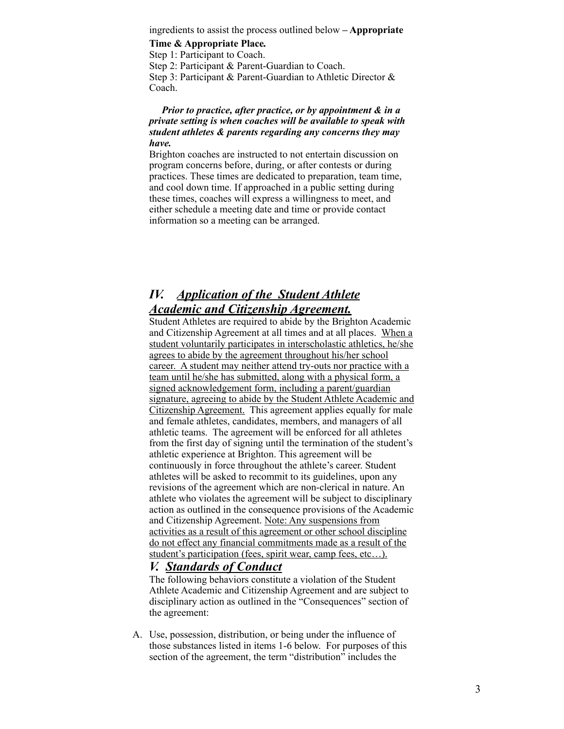ingredients to assist the process outlined below **– Appropriate** 

**Time & Appropriate Place***.* 

Step 1: Participant to Coach.

Step 2: Participant & Parent-Guardian to Coach. Step 3: Participant & Parent-Guardian to Athletic Director & Coach.

#### *Prior to practice, after practice, or by appointment & in a private setting is when coaches will be available to speak with student athletes & parents regarding any concerns they may have.*

Brighton coaches are instructed to not entertain discussion on program concerns before, during, or after contests or during practices. These times are dedicated to preparation, team time, and cool down time. If approached in a public setting during these times, coaches will express a willingness to meet, and either schedule a meeting date and time or provide contact information so a meeting can be arranged.

# *IV. Application of the Student Athlete Academic and Citizenship Agreement.*

Student Athletes are required to abide by the Brighton Academic and Citizenship Agreement at all times and at all places. When a student voluntarily participates in interscholastic athletics, he/she agrees to abide by the agreement throughout his/her school career. A student may neither attend try-outs nor practice with a team until he/she has submitted, along with a physical form, a signed acknowledgement form, including a parent/guardian signature, agreeing to abide by the Student Athlete Academic and Citizenship Agreement. This agreement applies equally for male and female athletes, candidates, members, and managers of all athletic teams. The agreement will be enforced for all athletes from the first day of signing until the termination of the student's athletic experience at Brighton. This agreement will be continuously in force throughout the athlete's career. Student athletes will be asked to recommit to its guidelines, upon any revisions of the agreement which are non-clerical in nature. An athlete who violates the agreement will be subject to disciplinary action as outlined in the consequence provisions of the Academic and Citizenship Agreement. Note: Any suspensions from activities as a result of this agreement or other school discipline do not effect any financial commitments made as a result of the student's participation (fees, spirit wear, camp fees, etc…).

#### *V.**Standards of Conduct*

The following behaviors constitute a violation of the Student Athlete Academic and Citizenship Agreement and are subject to disciplinary action as outlined in the "Consequences" section of the agreement:

A. Use, possession, distribution, or being under the influence of those substances listed in items 1-6 below. For purposes of this section of the agreement, the term "distribution" includes the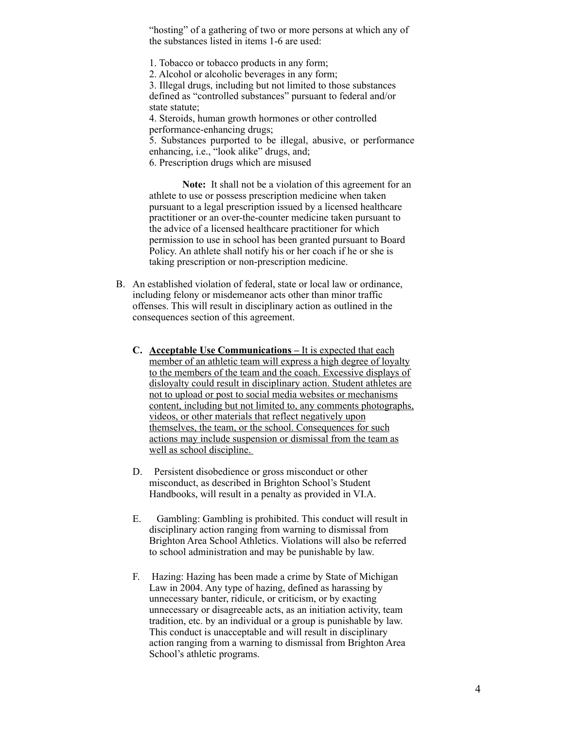"hosting" of a gathering of two or more persons at which any of the substances listed in items 1-6 are used:

1. Tobacco or tobacco products in any form;

2. Alcohol or alcoholic beverages in any form;

3. Illegal drugs, including but not limited to those substances defined as "controlled substances" pursuant to federal and/or state statute;

4. Steroids, human growth hormones or other controlled performance-enhancing drugs;

5. Substances purported to be illegal, abusive, or performance enhancing, i.e., "look alike" drugs, and; 6. Prescription drugs which are misused

**Note:** It shall not be a violation of this agreement for an athlete to use or possess prescription medicine when taken pursuant to a legal prescription issued by a licensed healthcare practitioner or an over-the-counter medicine taken pursuant to the advice of a licensed healthcare practitioner for which permission to use in school has been granted pursuant to Board Policy. An athlete shall notify his or her coach if he or she is taking prescription or non-prescription medicine.

- B. An established violation of federal, state or local law or ordinance, including felony or misdemeanor acts other than minor traffic offenses. This will result in disciplinary action as outlined in the consequences section of this agreement.
	- **C. Acceptable Use Communications** It is expected that each member of an athletic team will express a high degree of loyalty to the members of the team and the coach. Excessive displays of disloyalty could result in disciplinary action. Student athletes are not to upload or post to social media websites or mechanisms content, including but not limited to, any comments photographs, videos, or other materials that reflect negatively upon themselves, the team, or the school. Consequences for such actions may include suspension or dismissal from the team as well as school discipline.
	- D. Persistent disobedience or gross misconduct or other misconduct, as described in Brighton School's Student Handbooks, will result in a penalty as provided in VI.A.
	- E.Gambling: Gambling is prohibited. This conduct will result in disciplinary action ranging from warning to dismissal from Brighton Area School Athletics. Violations will also be referred to school administration and may be punishable by law.
	- F. Hazing: Hazing has been made a crime by State of Michigan Law in 2004. Any type of hazing, defined as harassing by unnecessary banter, ridicule, or criticism, or by exacting unnecessary or disagreeable acts, as an initiation activity, team tradition, etc. by an individual or a group is punishable by law. This conduct is unacceptable and will result in disciplinary action ranging from a warning to dismissal from Brighton Area School's athletic programs.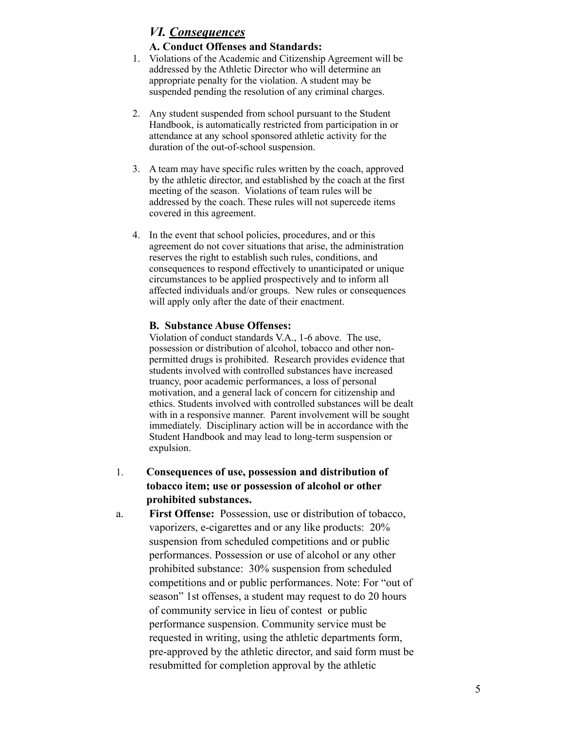# *VI. Consequences*

#### **A. Conduct Offenses and Standards:**

- 1. Violations of the Academic and Citizenship Agreement will be addressed by the Athletic Director who will determine an appropriate penalty for the violation. A student may be suspended pending the resolution of any criminal charges.
- 2. Any student suspended from school pursuant to the Student Handbook, is automatically restricted from participation in or attendance at any school sponsored athletic activity for the duration of the out-of-school suspension.
- 3. A team may have specific rules written by the coach, approved by the athletic director, and established by the coach at the first meeting of the season. Violations of team rules will be addressed by the coach. These rules will not supercede items covered in this agreement.
- 4. In the event that school policies, procedures, and or this agreement do not cover situations that arise, the administration reserves the right to establish such rules, conditions, and consequences to respond effectively to unanticipated or unique circumstances to be applied prospectively and to inform all affected individuals and/or groups. New rules or consequences will apply only after the date of their enactment.

#### **B. Substance Abuse Offenses:**

Violation of conduct standards V.A., 1-6 above. The use, possession or distribution of alcohol, tobacco and other nonpermitted drugs is prohibited. Research provides evidence that students involved with controlled substances have increased truancy, poor academic performances, a loss of personal motivation, and a general lack of concern for citizenship and ethics. Students involved with controlled substances will be dealt with in a responsive manner. Parent involvement will be sought immediately. Disciplinary action will be in accordance with the Student Handbook and may lead to long-term suspension or expulsion.

- 1. **Consequences of use, possession and distribution of tobacco item; use or possession of alcohol or other prohibited substances.**
- a. **First Offense:** Possession, use or distribution of tobacco, vaporizers, e-cigarettes and or any like products: 20% suspension from scheduled competitions and or public performances. Possession or use of alcohol or any other prohibited substance: 30% suspension from scheduled competitions and or public performances. Note: For "out of season" 1st offenses, a student may request to do 20 hours of community service in lieu of contest or public performance suspension. Community service must be requested in writing, using the athletic departments form, pre-approved by the athletic director, and said form must be resubmitted for completion approval by the athletic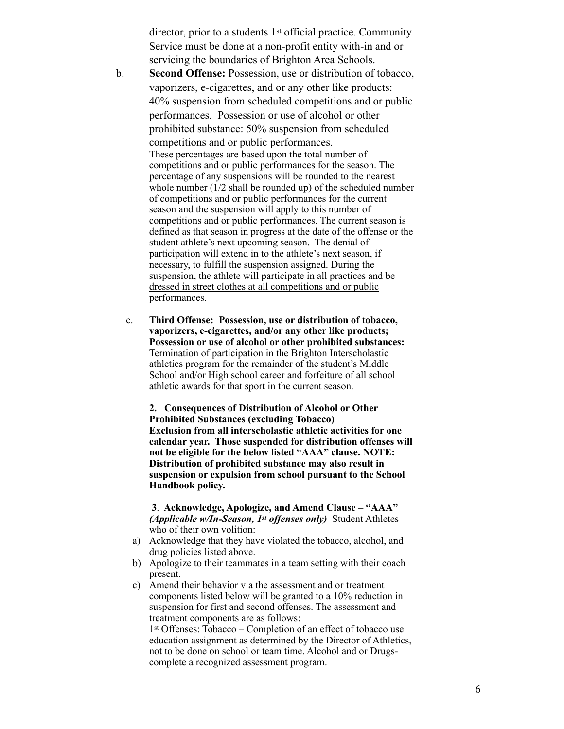director, prior to a students 1st official practice. Community Service must be done at a non-profit entity with-in and or servicing the boundaries of Brighton Area Schools.

- b. **Second Offense:** Possession, use or distribution of tobacco, vaporizers, e-cigarettes, and or any other like products: 40% suspension from scheduled competitions and or public performances. Possession or use of alcohol or other prohibited substance: 50% suspension from scheduled competitions and or public performances. These percentages are based upon the total number of competitions and or public performances for the season. The percentage of any suspensions will be rounded to the nearest whole number (1/2 shall be rounded up) of the scheduled number of competitions and or public performances for the current season and the suspension will apply to this number of competitions and or public performances. The current season is defined as that season in progress at the date of the offense or the student athlete's next upcoming season. The denial of participation will extend in to the athlete's next season, if necessary, to fulfill the suspension assigned. During the suspension, the athlete will participate in all practices and be dressed in street clothes at all competitions and or public performances.
	- c. **Third Offense: Possession, use or distribution of tobacco, vaporizers, e-cigarettes, and/or any other like products; Possession or use of alcohol or other prohibited substances:** Termination of participation in the Brighton Interscholastic athletics program for the remainder of the student's Middle School and/or High school career and forfeiture of all school athletic awards for that sport in the current season.

**2. Consequences of Distribution of Alcohol or Other Prohibited Substances (excluding Tobacco) Exclusion from all interscholastic athletic activities for one calendar year. Those suspended for distribution offenses will not be eligible for the below listed "AAA" clause. NOTE: Distribution of prohibited substance may also result in suspension or expulsion from school pursuant to the School Handbook policy.**

**3**. **Acknowledge, Apologize, and Amend Clause – "AAA"**  *(Applicable w/In-Season, 1st offenses only)* Student Athletes who of their own volition:

- a) Acknowledge that they have violated the tobacco, alcohol, and drug policies listed above.
- b) Apologize to their teammates in a team setting with their coach present.
- c) Amend their behavior via the assessment and or treatment components listed below will be granted to a 10% reduction in suspension for first and second offenses. The assessment and treatment components are as follows:

1st Offenses: Tobacco – Completion of an effect of tobacco use education assignment as determined by the Director of Athletics, not to be done on school or team time. Alcohol and or Drugscomplete a recognized assessment program.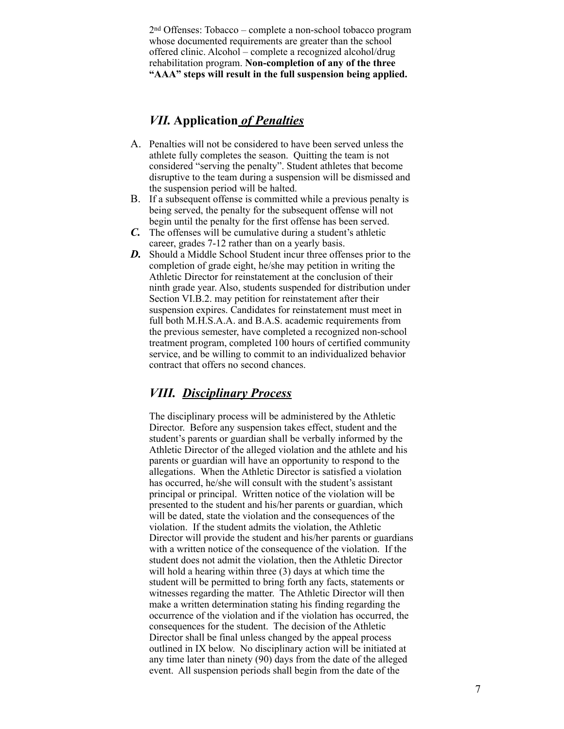2nd Offenses: Tobacco – complete a non-school tobacco program whose documented requirements are greater than the school offered clinic. Alcohol – complete a recognized alcohol/drug rehabilitation program. **Non-completion of any of the three "AAA" steps will result in the full suspension being applied.**

# *VII.* **Application** *of Penalties*

- A. Penalties will not be considered to have been served unless the athlete fully completes the season. Quitting the team is not considered "serving the penalty". Student athletes that become disruptive to the team during a suspension will be dismissed and the suspension period will be halted.
- B. If a subsequent offense is committed while a previous penalty is being served, the penalty for the subsequent offense will not begin until the penalty for the first offense has been served.
- *C.* The offenses will be cumulative during a student's athletic career, grades 7-12 rather than on a yearly basis.
- *D.* Should a Middle School Student incur three offenses prior to the completion of grade eight, he/she may petition in writing the Athletic Director for reinstatement at the conclusion of their ninth grade year. Also, students suspended for distribution under Section VI.B.2. may petition for reinstatement after their suspension expires. Candidates for reinstatement must meet in full both M.H.S.A.A. and B.A.S. academic requirements from the previous semester, have completed a recognized non-school treatment program, completed 100 hours of certified community service, and be willing to commit to an individualized behavior contract that offers no second chances.

# *VIII. Disciplinary Process*

The disciplinary process will be administered by the Athletic Director. Before any suspension takes effect, student and the student's parents or guardian shall be verbally informed by the Athletic Director of the alleged violation and the athlete and his parents or guardian will have an opportunity to respond to the allegations. When the Athletic Director is satisfied a violation has occurred, he/she will consult with the student's assistant principal or principal. Written notice of the violation will be presented to the student and his/her parents or guardian, which will be dated, state the violation and the consequences of the violation. If the student admits the violation, the Athletic Director will provide the student and his/her parents or guardians with a written notice of the consequence of the violation. If the student does not admit the violation, then the Athletic Director will hold a hearing within three (3) days at which time the student will be permitted to bring forth any facts, statements or witnesses regarding the matter. The Athletic Director will then make a written determination stating his finding regarding the occurrence of the violation and if the violation has occurred, the consequences for the student. The decision of the Athletic Director shall be final unless changed by the appeal process outlined in IX below. No disciplinary action will be initiated at any time later than ninety (90) days from the date of the alleged event. All suspension periods shall begin from the date of the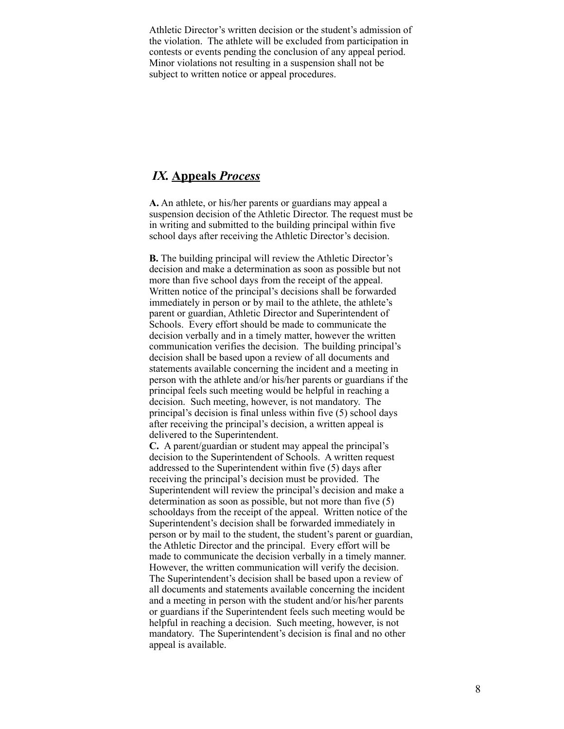Athletic Director's written decision or the student's admission of the violation. The athlete will be excluded from participation in contests or events pending the conclusion of any appeal period. Minor violations not resulting in a suspension shall not be subject to written notice or appeal procedures.

# *IX.* **Appeals** *Process*

**A.** An athlete, or his/her parents or guardians may appeal a suspension decision of the Athletic Director. The request must be in writing and submitted to the building principal within five school days after receiving the Athletic Director's decision.

**B.** The building principal will review the Athletic Director's decision and make a determination as soon as possible but not more than five school days from the receipt of the appeal. Written notice of the principal's decisions shall be forwarded immediately in person or by mail to the athlete, the athlete's parent or guardian, Athletic Director and Superintendent of Schools. Every effort should be made to communicate the decision verbally and in a timely matter, however the written communication verifies the decision. The building principal's decision shall be based upon a review of all documents and statements available concerning the incident and a meeting in person with the athlete and/or his/her parents or guardians if the principal feels such meeting would be helpful in reaching a decision. Such meeting, however, is not mandatory. The principal's decision is final unless within five (5) school days after receiving the principal's decision, a written appeal is delivered to the Superintendent.

**C.** A parent/guardian or student may appeal the principal's decision to the Superintendent of Schools. A written request addressed to the Superintendent within five (5) days after receiving the principal's decision must be provided. The Superintendent will review the principal's decision and make a determination as soon as possible, but not more than five (5) schooldays from the receipt of the appeal. Written notice of the Superintendent's decision shall be forwarded immediately in person or by mail to the student, the student's parent or guardian, the Athletic Director and the principal. Every effort will be made to communicate the decision verbally in a timely manner. However, the written communication will verify the decision. The Superintendent's decision shall be based upon a review of all documents and statements available concerning the incident and a meeting in person with the student and/or his/her parents or guardians if the Superintendent feels such meeting would be helpful in reaching a decision. Such meeting, however, is not mandatory. The Superintendent's decision is final and no other appeal is available.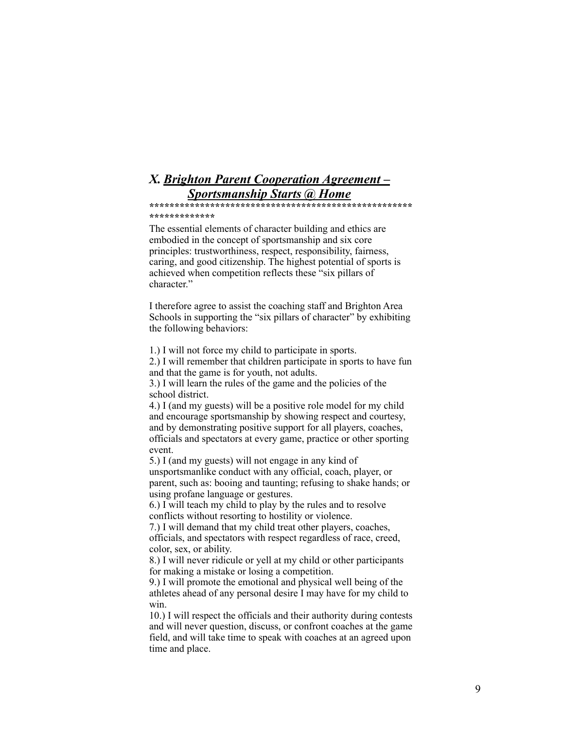# *X. Brighton Parent Cooperation Agreement – Sportsmanship Starts @ Home*

**\*\*\*\*\*\*\*\*\*\*\*\*\*\*\*\*\*\*\*\*\*\*\*\*\*\*\*\*\*\*\*\*\*\*\*\*\*\*\*\*\*\*\*\*\*\*\*\*\*\*\*\* \*\*\*\*\*\*\*\*\*\*\*\*\***

The essential elements of character building and ethics are embodied in the concept of sportsmanship and six core principles: trustworthiness, respect, responsibility, fairness, caring, and good citizenship. The highest potential of sports is achieved when competition reflects these "six pillars of character."

I therefore agree to assist the coaching staff and Brighton Area Schools in supporting the "six pillars of character" by exhibiting the following behaviors:

1.) I will not force my child to participate in sports.

2.) I will remember that children participate in sports to have fun and that the game is for youth, not adults.

3.) I will learn the rules of the game and the policies of the school district.

4.) I (and my guests) will be a positive role model for my child and encourage sportsmanship by showing respect and courtesy, and by demonstrating positive support for all players, coaches, officials and spectators at every game, practice or other sporting event.

5.) I (and my guests) will not engage in any kind of unsportsmanlike conduct with any official, coach, player, or parent, such as: booing and taunting; refusing to shake hands; or using profane language or gestures.

6.) I will teach my child to play by the rules and to resolve conflicts without resorting to hostility or violence.

7.) I will demand that my child treat other players, coaches, officials, and spectators with respect regardless of race, creed, color, sex, or ability.

8.) I will never ridicule or yell at my child or other participants for making a mistake or losing a competition.

9.) I will promote the emotional and physical well being of the athletes ahead of any personal desire I may have for my child to win.

10.) I will respect the officials and their authority during contests and will never question, discuss, or confront coaches at the game field, and will take time to speak with coaches at an agreed upon time and place.